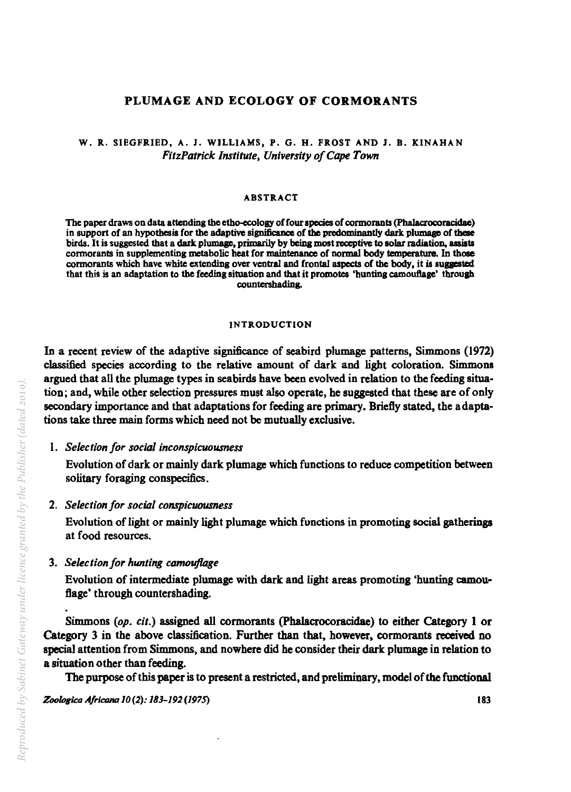## PLUMAGE AND ECOLOGY OF CORMORANTS

## W. R. SIEGFRIED, A. 1. WILLIAMS, P. G. H. FROST AND 1. B. KINAHAN **FitzPatrick Institute, University of Cape Town**

#### ABSTRACT

The paper draws on data attending the etho-ccoiogy of four species of cormorants (Phalacrocoracidae) in support of an hypothesis for the adaptive significance of the predominantly dark plumage of these birds. It is suggested that a dark plumage, primarily by being most receptive to solar radiation. assists cormorants in supplementing metabolic heat for maintenance of normal body temperature. In those cormorants which have white extending over ventral and frontal aspects of the body, it is suggested that this is an adaptation to the feeding situation and that it promotes 'hunting camouflage' through countersbading.

### INTRODUCTION

In a recent review of the adaptive significance of seabird plumage patterns, Simmons (1972) classified species according to the relative amount of dark and light coloration. Simmons argued that all the plumage types in seabirds have been evolved in relation to the feeding situation; and, while other selection pressures must also operate, he suggested that these are of only secondary importance and that adaptations for feeding are primary. Briefly stated, the adaptations take three main forms which need not be mutually exclusive.

### *1. Selection for social inconspicuousness*

Evolution of dark or mainly dark plumage which functions to reduce competition between solitary foraging conspecifics.

## 2. Selection for social conspicuousness

Evolution of light or mainly light plumage which functions in promoting social gatherings at food resources.

## *3. Selection/or hunting camouflage*

Evolution of intermediate plumage with dark and light areas promoting 'hunting camouflage' through countershading.

Simmons *(op. cit.)* assigned all cormorants (Phalacrocoracidae) to either Category 1 or Category 3 in the above classification. Further than that, however, cormorants received no special attention from Simmons, and nowhere did he consider their dark plumage in relation to a situation other than feeding.

The purpose of this paper is to present a restricted, and preliminary, model of the functional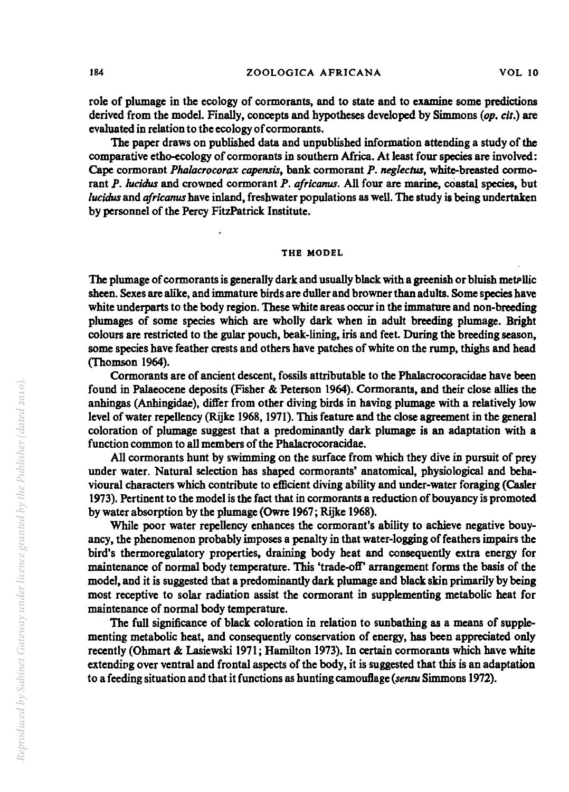role of plumage in the ecology of cormorants, and to state and to examine some predictions derived from the model. Finally, concepts and hypotheses developed by Simmons *(op. cit.)* are evaluated in relation to the ecology of cormorants.

The paper draws on published data and unpublished information attending a study of the comparative etho-ecology of cormorants in southern Africa. At least four species are involved: Cape cormorant *Phalacrocorax capensis*, bank cormorant *P. neglectus*, white-breasted cormorant *P. Iucidus* and crowned cormorant *P. africonus.* All four are marine, cciastal species, but *lucidus* and *africonus* have inland, freshwater populations as well. The study is being undertaken by personnel of the Percy FitzPatrick Institute.

### THE MODEL

The plumage of cormorants is generally dark and usually black with a greenish or bluish metallic sheen. Sexes are alike, and immature birds are duller and browner than adults. Some species have white underparts to the body region. These white areas occur in the immature and non-breeding plumages of some species which are wholly dark when in adult breeding plumage. Bright colours are restricted to the gular pouch, beak-lining, iris and feet. During the breeding season, some species have feather crests and others have patches of white on the rump, thighs and head (Thomson 1964).

Cormorants are of ancient descent, fossils attributable to the Phalacrocoracidae have been found in Palaeocene deposits (Fisher & Peterson 1964). Cormorants, and their close allies the anhingas (Anhingidae), differ from other diving birds in having plumage with a relatively low level of water repellency (Rijke 1968, 1971). This feature and the close agreement in the general coloration of plumage suggest that a predominantly dark plumage is an adaptation with a function common to all members of the Phalacrocoracidae.

All cormorants hunt by swimming on the surface from which they dive in pursuit of prey under water. Natural selection has shaped cormorants' anatomical, physiological and behavioural characters which contribute to efficient diving ability and under-water foraging (Casler 1973). Pertinent to the model is the fact that in cormorants a reduction of bouyancy is promoted by water absorption by the plumage (Owre 1967; Rijke 1968).

While poor water repellency enhances the cormorant's ability to achieve negative bouyancy, the phenomenon probably imposes a penalty in that water-logging of feathers impairs the bird's thermoregulatory properties, draining body heat and consequently extra energy for maintenance of normal body temperature. This 'trade-off' arrangement forms the basis of the model, and it is suggested that a predominantly dark plumage and black skin primarily by being most receptive to solar radiation assist the cormorant in supplementing metabolic heat for maintenance of normal body temperature.

The full significance of black coloration in relation to sunbathing as a means of supplementing metabolic heat, and consequently conservation of energy, has been appreciated only recently (Ohmart & Lasiewski 1971; Hamilton 1973). In certain cormorants which have white extending over ventral and frontal aspects of the body, it is suggested that this is an adaptation to a feeding situation and that it functions as hunting camouflage *(sensu* Simmons 1972).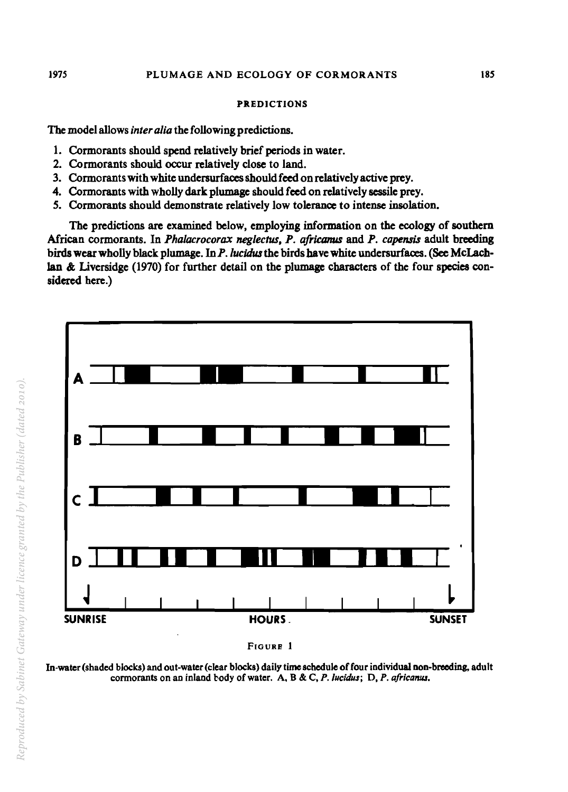## PREDICTIONS

The model allows *inler alia* the following predictions.

- 1. Cormorants should spend relatively brief periods in water.
- 2. Cormorants should occur relatively close to land.
- 3. Cormorants with white undersurfaces should feed on relatively active prey.
- 4. Cormorants with wholly dark plumage should feed on relatively sessile prey.
- 5. Cormorants should demonstrate relatively low tolerance to intense insolation.

The predictions are examined below, employing information on the ecology of southern African cormorants. In *Phalacrocorax neglectus*, P. africanus and P. capensis adult breeding birds wear wholly black plumage. In *P.lucidua* the birds have white undersurfaces. (See McLachlan & Liversidge (1970) for further detail on the plumage characters of the four species considered here.)



In-water (shaded blocks) and out-water (clear blocks) daily time schedule of four individual non-breeding, adult cormorants on an inland body of water. A. B & C, *P.lucidus;* D, *P. a/ricaruu.*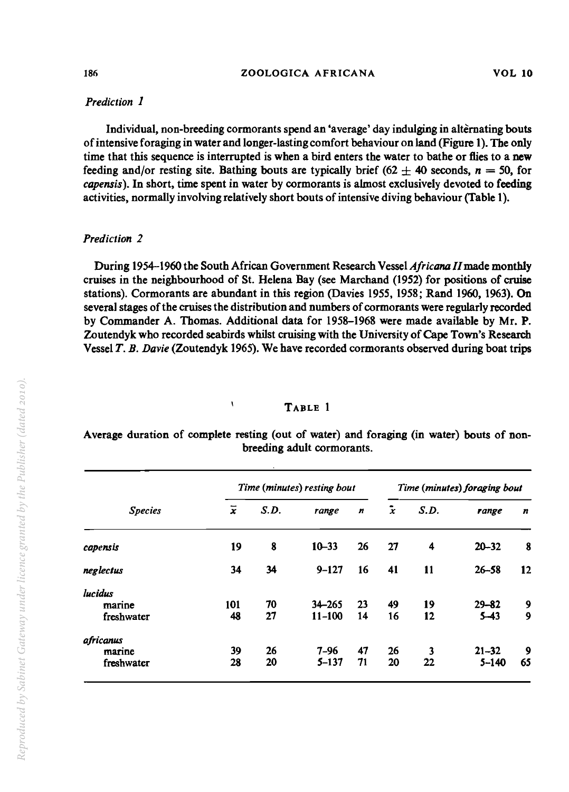186 ZOOLOGICA AFRICANA VOL 10

# *Prediction 1*

Individual, non-breeding cormorants spend an 'average' day indulging in alternating bouts of intensive foraging in water and longer-lasting comfort behaviour on land (Figure 1). The only time that this sequence is interrupted is when a bird enters the water to bathe or flies to a new feeding and/or resting site. Bathing bouts are typically brief (62  $\pm$  40 seconds, n = 50, for *capensis).* In short, time spent in water by cormorants is almost exclusively devoted to feeding activities, normally involving relatively short bouts of intensive diving behaviour (fable 1).

## *Prediction 2*

During 1954-1960 the South African Government Research Vessel *Africana* II made monthly cruises in the neighbourhood of St. Helena Bay (see Marchand (1952) for positions of cruise stations). Cormorants are abundant in this region (Davies 1955, 1958; Rand 1960, 1963). On several stages of the cruises the distribution and numbers of cormorants were regularly recorded by Commander A. Thomas. Additional data for 1958-1968 were made available by Mr. P. Zoutendyk who recorded seabirds whilst cruising with the University of Cape Town's Research Vessel T. B. *Davie* (Zoutendyk 1965). We have recorded cormorants observed during boat trips

# TABLE 1

À

Average duration of complete resting (out of water) and foraging (in water) bouts of nonbreeding adult cormorants.

|                | Time (minutes) resting bout |      |            |                  |              | Time (minutes) foraging bout |           |    |  |  |
|----------------|-----------------------------|------|------------|------------------|--------------|------------------------------|-----------|----|--|--|
| <b>Species</b> | $\overline{x}$              | S.D. | range      | $\boldsymbol{n}$ | $\mathbf{x}$ | S.D.                         | range     | n  |  |  |
| capensis       | 19                          | 8    | $10 - 33$  | 26               | 27           | 4                            | $20 - 32$ | 8  |  |  |
| neglectus      | 34                          | 34   | $9 - 127$  | 16               | 41           | 11                           | $26 - 58$ | 12 |  |  |
| lucidus        |                             |      |            |                  |              |                              |           |    |  |  |
| marine         | 101                         | 70   | $34 - 265$ | 23               | 49           | 19                           | $29 - 82$ | 9  |  |  |
| freshwater     | 48                          | 27   | $11 - 100$ | 14               | 16           | 12                           | $5 - 43$  | 9  |  |  |
| africanus      |                             |      |            |                  |              |                              |           |    |  |  |
| marine         | 39                          | 26   | 7–96       | 47               | 26           | 3                            | $21 - 32$ | 9  |  |  |
| freshwater     | 28                          | 20   | $5 - 137$  | 71               | 20           | 22                           | $5 - 140$ | 65 |  |  |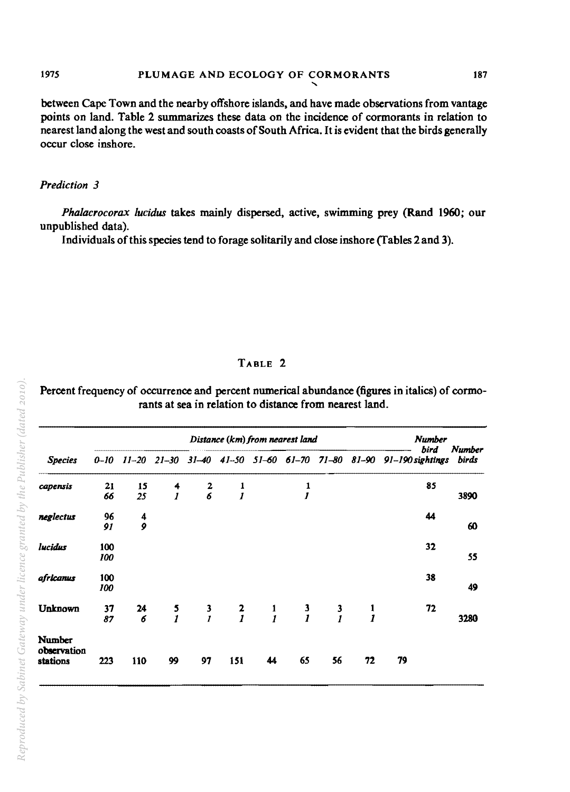" between Cape Town and the nearby offshore islands, and have made observations from vantage points on land. Table 2 summarizes these data on the incidence of cormorants in relation to nearest land along the west and south coasts of South Africa. It is evident that the birds generally occur close inshore.

## *Prediction 3*

*Phalacrocorax lucidus* takes mainly dispersed, active, swimming prey (Rand 1960; our unpublished data).

Individuals of this species tend to forage solitarily and close inshore (fables 2 and 3).

# TABLE 2

Percent frequency of occurrence and percent numerical abundance (figures in italics) of cormorants at sea in relation to distance from nearest land.

| <b>Species</b>        | Distance (km) from nearest land |               |               |               |                                                                         |    |                                                                        |               |               |                  | <b>Number</b><br>bird |                        |
|-----------------------|---------------------------------|---------------|---------------|---------------|-------------------------------------------------------------------------|----|------------------------------------------------------------------------|---------------|---------------|------------------|-----------------------|------------------------|
|                       |                                 |               |               |               |                                                                         |    | $0-10$ $11-20$ $21-30$ $31-40$ $41-50$ $51-60$ $61-70$ $71-80$ $81-90$ |               |               | 91-190 sightings |                       | <b>Number</b><br>birds |
| capensis              | 21                              | 15            | $\frac{4}{I}$ | $\frac{2}{6}$ | $\frac{1}{l}$                                                           |    | $\frac{1}{l}$                                                          |               |               |                  | 85                    |                        |
|                       | 66                              | 25            |               |               |                                                                         |    |                                                                        |               |               |                  |                       | 3890                   |
| neglectus             | 96                              | $\frac{4}{9}$ |               |               |                                                                         |    |                                                                        |               |               |                  | 44                    |                        |
|                       | 91                              |               |               |               |                                                                         |    |                                                                        |               |               |                  |                       | 60                     |
| lucidus               | 100                             |               |               |               |                                                                         |    |                                                                        |               |               |                  | 32                    |                        |
|                       | 100                             |               |               |               |                                                                         |    |                                                                        |               |               |                  |                       | 55                     |
| africanus             | 100                             |               |               |               |                                                                         |    |                                                                        |               |               |                  | 38                    |                        |
|                       | 100                             |               |               |               |                                                                         |    |                                                                        |               |               |                  |                       | 49                     |
| Unknown               | 37                              | 24            |               |               |                                                                         |    | $\frac{3}{I}$                                                          |               |               |                  | 72                    |                        |
|                       | 87                              | 6             | $\frac{5}{1}$ |               | $\begin{array}{ccccccccc}\n3 & & 2 & & 1 \\ 1 & & 1 & & 1\n\end{array}$ |    |                                                                        | $\frac{3}{I}$ | $\frac{1}{I}$ |                  |                       | 3280                   |
| Number<br>observation |                                 |               |               |               |                                                                         |    |                                                                        |               |               |                  |                       |                        |
| stations              | 223                             | 110           | 99            | 97            | 151                                                                     | 44 | 65                                                                     | 56            | 72            | 79               |                       |                        |
|                       |                                 |               |               |               |                                                                         |    |                                                                        |               |               |                  |                       |                        |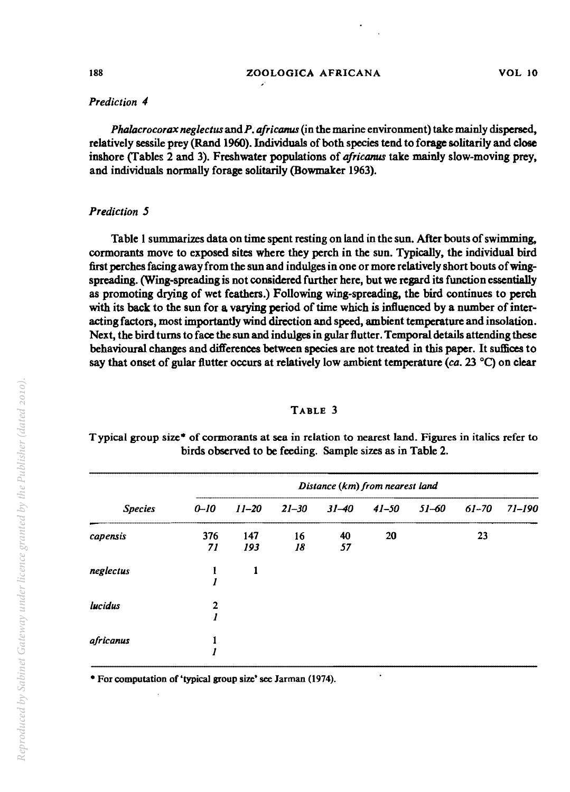188 ZOOLOGICA AFRICANA VOL 10

# *Prediction 4*

*Phalacrocorax neglectus* and P. *africanus* (in the marine environment) take mainly dispersed, relatively sessile prey (Rand 1960). Individuals of both species tend to forage solitarily and close inshore (Tables 2 and 3). Freshwater populations of *africanus* take mainly slow-moving prey, and individuals normally forage solitarily (Bowmaker 1963).

## *Prediction 5*

Table I summarizes data on time spent resting on land in the sun. After bouts of swimming, cormorants move to exposed sites where they perch in the sun. Typically, the individual bird first perches facing away from the sun and indulges in one or more relatively short bouts of wingspreading. (Wing-spreading is not considered further here, but we regard its function essentially as promoting drying of wet feathers.) Following wing-spreading, the bird continues to perch with its back to the sun for a varying period of time which is influenced by a number of interacting factors, most importantly wind direction and speed, ambient temperature and insolation. Next, the bird turns to face the sun and indulges in gular flutter. Temporal details attending these behavioural changes and differences between species are not treated in this paper. It suffices to say that onset of gular flutter occurs at relatively low ambient temperature (ca. 23 °C) on clear

## TABLE 3

Typical group size\* of cormorants at sea in relation to nearest land. Figures in italics refer to birds observed to be feeding. Sample sizes as in Table 2.

| <b>Species</b>   | Distance (km) from nearest land |            |           |           |           |           |           |            |  |  |
|------------------|---------------------------------|------------|-----------|-----------|-----------|-----------|-----------|------------|--|--|
|                  | $0 - 10$                        | $11 - 20$  | $21 - 30$ | $31 - 40$ | $41 - 50$ | $51 - 60$ | $61 - 70$ | $71 - 190$ |  |  |
| capensis         | 376<br>71                       | 147<br>193 | 16<br>18  | 40<br>57  | 20        |           | 23        |            |  |  |
| neglectus        | 1                               | 1          |           |           |           |           |           |            |  |  |
| lucidus          | $\overline{2}$                  |            |           |           |           |           |           |            |  |  |
| <i>africanus</i> | 1                               |            |           |           |           |           |           |            |  |  |

• For computation of 'typical group size' see Jarman (1974).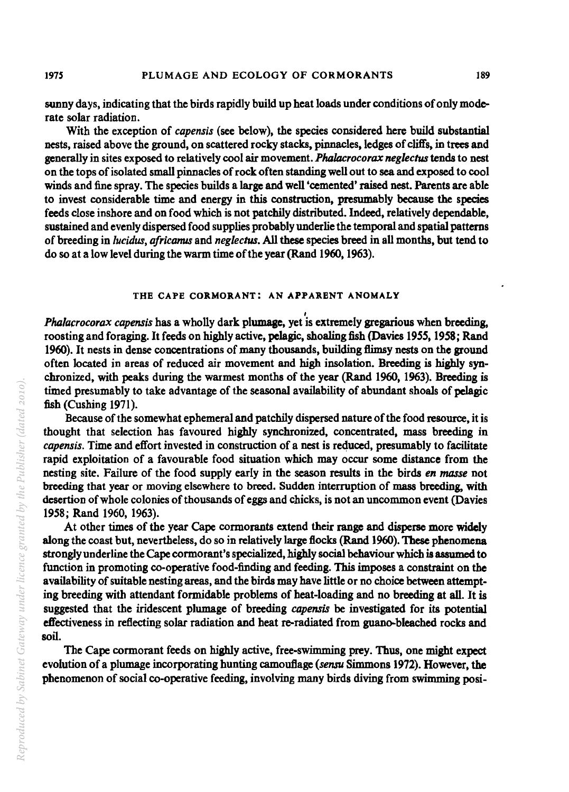sunny days, indicating that the birds rapidly build up heat loads under conditions of only moderate solar radiation.

With the exception of *capensis* (see below). the species considered here build substantial nests. raised above the ground, on scattered rocky stacks. pinnacles. ledges of cliffs. in trees and generally in sites exposed to relatively cool air movement. *Phalacrocorax neglectus* tends to nest on the tops of isolated small pinnacles of rock often standing well out to sea and exposed to cool winds and fine spray. The species builds a large and well 'cemented' raised nest. Parents are able to invest considerable time and energy in this construction. presumably because the species feeds close inshore and on food which is not patchily distributed. Indeed. relatively dependable. sustained and evenly dispersed food supplies probably underlie the temporal and spatial patterns of breeding in *lucidus, africanus* and *neglectus.* All these species breed in all months. but tend to do so ata low level during the warm time of the year (Rand 1960. 1963).

## THE CAPE CORMORANT: AN APPARENT ANOMALY

Phalacrocorax capensis has a wholly dark plumage, yet is extremely gregarious when breeding, roosting and foraging. It feeds on highly active. pelagic, shoaling fish (Davies 1955. 1958; Rand 1960). It nests in dense concentrations of many thousands. building flimsy nests on the ground often located in areas of reduced air movement and high insolation. Breeding is highly synchronized. with peaks during the warmest months of the year (Rand 1960. 1963). Breeding is timed presumably to take advantage of the seasonal availability of abundant shoals of pelagic fish (Cushing 1971).

Because of the somewhat ephemeral and patchily dispersed nature of the food resource. it is thought that selection has favoured highly synchronized. concentrated, mass breeding in *capensis*. Time and effort invested in construction of a nest is reduced, presumably to facilitate rapid exploitation of a favourable food situation which may occur some distance from the nesting site. Failure of the food supply early in the season results in the birda *en masse* not breeding that year or moving elsewhere to breed. Sudden interruption of mass breeding, with desertion of whole colonies of thousands of eggs and chicks, is not an uncommon event (Davies 1958; Rand 1960, 1963).

At other times of the year Cape cormorants extend their range and disperse more widely along the coast but, nevertheless. do so in relatively large flocks (Rand 1960). These phenomena strongly underline the Cape cormorant's specialized, highly social behaviour which is assumed to function in promoting co-operative food-finding and feeding. This imposes a constraint on the availability of suitable nesting areas, and the birda may have little or no choice between attempting breeding with attendant formidable problems of heat-loading and no breeding at all. It is suggested that the iridescent plumage of breeding *copensis* be investigated for its potential effectiveness in reflecting solar radiation and heat re-radiated from guano-bleached rocks and soil.

The Cape cormorant feeds on highly active, free-swimming prey. Thus, one might expect evolution of a plumage incorporating hunting camouflage *(sensu* Simmons 1972). However, the phenomenon of social co-operative feeding, involving many birds diving from swimming posi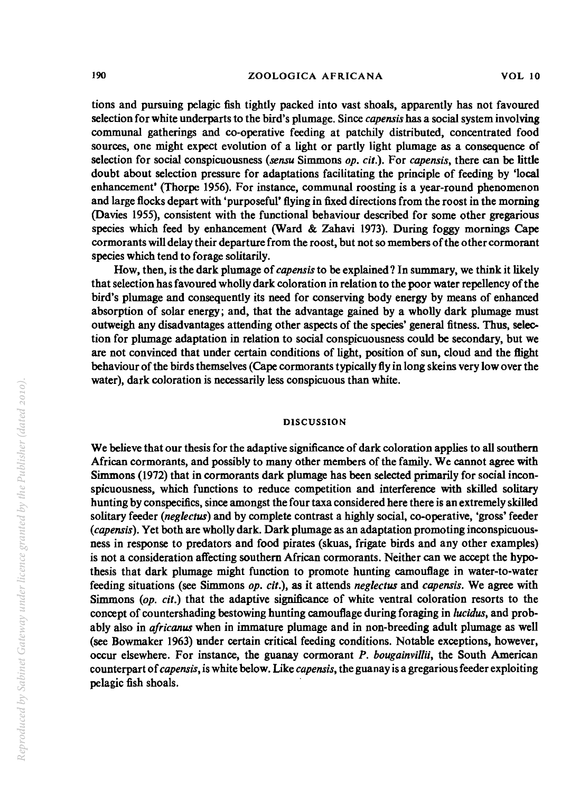tions and pursuing pelagic fish tightly packed into vast shoals, apparently has not favoured selection for white underparts to the bird's plumage. Since *capensis* has a social system involving communal gatherings and co-operative feeding at patchily distributed, concentrated food sources, one might expect evolution of a light or partly light plumage as a consequence of selection for social conspicuousness *(sensu* Simmons *op. cit.).* For *capensis,* there can be little doubt about selection pressure for adaptations facilitating the principle of feeding by 'local enhancement' (Thorpe 1956). For instance, communal roosting is a year-round phenomenon and large flocks depart with 'purposeful' flying in fixed directions from the roost in the morning (Davies 1955), consistent with the functional behaviour described for some other gregarious species which feed by enhancement (Ward & Zahavi 1973). During foggy mornings Cape cormorants will delay their departure from the roost, but not so members ofthe other cormorant species which tend to forage solitarily.

How, then, is the dark plumage of *capensis* to be explained? In summary, we think it likely that selection has favoured wholly dark coloration in relation to the poor water repellency of the bird's plumage and consequently its need for conserving body energy by means of enhanced absorption of solar energy; and, that the advantage gained by a wholly dark plumage must outweigh any disadvantages attending other aspects of the species' general fitness. Thus, selection for plumage adaptation in relation to social conspicuousness could be secondary, but we are not convinced that under certain conditions of light, position of sun, cloud and the flight behaviour of the birds themselves (Cape cormorants typically fly in long skeins very low over the water), dark coloration is necessarily less conspicuous than white.

#### DISCUSSION

We believe that our thesis for the adaptive significance of dark coloration applies to all southern African cormorants, and possibly to many other members of the family. We cannot agree with Simmons (1972) that in cormorants dark plumage has been selected primarily for social inconspicuousness, which functions to reduce competition and interference with skilled solitary hunting by conspecifics, since amongst the four taxa considered here there is an extremely skilled solitary feeder *(neglectus)* and by complete contrast a highly social, co-operative, 'gross' feeder *(capensis).* Yet both are wholly dark. Dark plumage as an adaptation promoting inconspicuousness in response to predators and food pirates (skuas, frigate birds and any other examples) is not a consideration affecting southern African cormorants. Neither can we accept the hypothesis that dark plumage might function to promote hunting camouflage in water-to-water feeding situations (see Simmons *op. cit.),* as it attends *neglectus* and *capensis.* We agree with Simmons *(op. cit.)* that the adaptive significance of white ventral coloration resorts to the concept of countershading bestowing hunting camouflage during foraging in *lucidus,* and probably also in *africanus* when in immature plumage and in non-breeding adult plumage as well (see Bowmaker 1963) under certain critical feeding conditions. Notable exceptions, however, occur elsewhere. For instance, the guanay cormorant *P. bougainvillii,* the South American counterpart of *capensis,* is white below. Like *capensis,* the guanay is a gregarious feeder exploiting pelagic fish shoals. .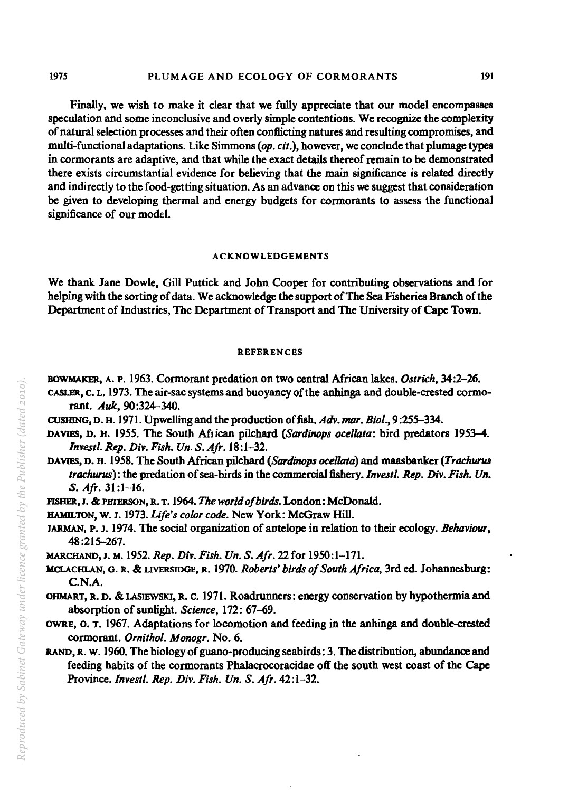## 1975 PLUMAGE AND ECOLOGY OF CORMORANTS 191

Finally, we wish to make it clear that we fully appreciate that our model encompasses speculation and some inconclusive and overly simple contentions. We recognize the complexity of natural selection processes and their often conflicting natures and resulting compromises, and multi-functional adaptations. Like Simmons *(op. cit.),* however, we conclude that plumage types in cormorants are adaptive, and that while the exact details thereof remain to be demonstrated there exists circumstantial evidence for believing that the main significance is related directly and indirectly to the food-getting situation. As an advance on this we suggest that consideration be given to developing thermal and energy budgets for cormorants to assess the functional significance of our model.

#### **ACKNOWLEDGEMENTS**

We thank Jane Dowle, Gill Puttick and John Cooper for contributing observations and for helping with the sorting of data. We acknowledge the support of The Sea Fisheries Branch of the Department of Industries, The Department of Transport and The University of Cape Town.

#### REFERENCES

- BOWMAKER, A. P. 1963. Cormorant predation on two central Mrican lakes. *Ostrich, 34:2-26.*
- CASLER, c. L. 1973. The air-sac systems and buoyancy of the anhinga and double-crested cormorant. *Auk,90:324-34O.*
- CUSHING, D. H. 1971. Upwelling and the production offish. *Adv. mar. BiDl.,* 9 :2S~334.
- DAVIES, D. H. 1955. The South Mlican pilchard *(Sardinops ocellata:* bird predators 1953-4. *Investl. Rep. Div. Fish. Un.* S. *Afr. 18:1-32.*
- DAVIES, D. H. 1958. The South African pilchard *(Sardinops ocellata)* and maasbanker *(Trachurus trachurus*): the predation of sea-birds in the commercial fishery. *Investl. Rep. Div. Fish. Un. S. Afr.* 31 :1-16.
- FISHER, J. & PETERSON, R. T. 1964. *The world of birds*. London: McDonald.
- HAMILTON, W. J. 1973. *Life'S color code.* New York: McGraw Hill.
- JARMAN, P. J. 1974. The social organization of antelope in relation to their ecology. *Behaviour*, 48:21~267.
- MARCHAND,J. M.1952. *Rep. Div. Fish. Un.* S. *Afr.* 22 for 1950:1-171.
- MCLACHLAN, G. R. & UVERSIDGE, R. 1970. *Roberts' birds of South Africa,* 3rd ed. Johannesburg: C.N.A.
- OHMART, R. D. & LASIEWSKI, R. c. 1971. Roadrunners: energy conservation by hypothermia and absorption of sUnlight. *Science,* 172: 67-69.
- OWRE, o. T. 1967. Adaptations for locomotion and feeding in the anhinga and double-crested cormorant. *Ornithol. Monogr.* No.6.
- RAND, R. w. 1960. The biology of guano-producing seabirds: 3. The distribution, abundance and feeding habits of the cormorants Phalacrocoracidae off the south west coast of the Cape Province. *Investl. Rep. Div. Fish. Un.* S. *Afr. 42:1-32.*